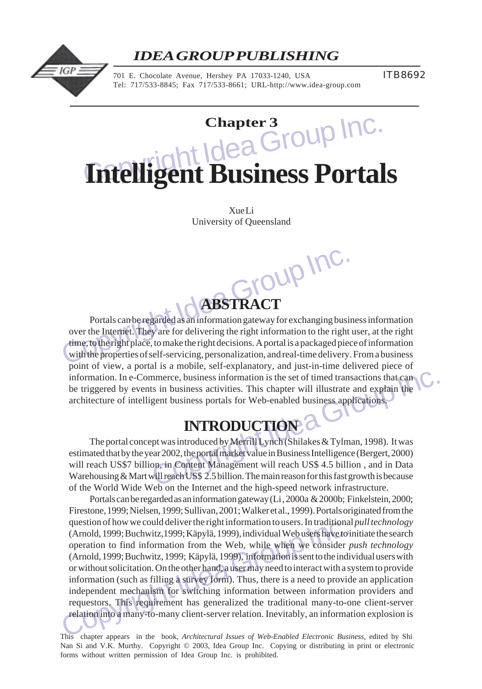

## *IDEA GROUP PUBLISHING*

701 E. Chocolate Avenue, Hershey PA 17033-1240, USA Tel: 717/533-8845; Fax 717/533-8661; URL-http://www.idea-group.com ITB8692

# **Chapter 3**<br> **Chapter 3**<br> **Chapter 3**<br> **Chapter 3**<br> **Chapter 3**<br> **Chapter 3**<br> **Chapter 3**<br> **Chapter 3**<br> **Chapter 3**<br> **Chapter 3**<br> **Chapter 3 Intelligent Business Portals**

Xue Li University of Queensland

Group Inc. **ABSTRACT**

Portals can be regarded as an information gateway for exchanging business information over the Internet. They are for delivering the right information to the right user, at the right time, to the right place, to make the right decisions. A portal is a packaged piece of information with the properties of self-servicing, personalization, and real-time delivery. From a business point of view, a portal is a mobile, self-explanatory, and just-in-time delivered piece of information. In e-Commerce, business information is the set of timed transactions that can be triggered by events in business activities. This chapter will illustrate and explain the architecture of intelligent business portals for Web-enabled business applications.

# **INTRODUCTION**

mmerce, business information is the set of timed transactions that can<br>ts in business activities. This chapter will illustrate and explain the<br>gent business portals for Web-enabled business applications.<br>Transmitted by Mer The portal concept was introduced by Merrill Lynch (Shilakes & Tylman, 1998). It was estimated that by the year 2002, the portal market value in Business Intelligence (Bergert, 2000) will reach US\$7 billion, in Content Management will reach US\$ 4.5 billion , and in Data Warehousing & Mart will reach US\$ 2.5 billion. The main reason for this fast growth is because of the World Wide Web on the Internet and the high-speed network infrastructure.

question of how we could deliver the right information to users. In traditiona<br>
(Arnold, 1999; Buchwitz, 1999; Käpylä, 1999), individual Web users have to<br>
operation to find information from the Web, while when we consider Portals can be regarded as an information gateway (Li , 2000a & 2000b; Finkelstein, 2000; Firestone, 1999; Nielsen, 1999; Sullivan, 2001; Walker et al., 1999). Portals originated from the question of how we could deliver the right information to users. In traditional *pull technology* (Arnold, 1999; Buchwitz,1999; Käpylä, 1999), individual Web users have to initiate the search operation to find information from the Web, while when we consider *push technology* (Arnold, 1999; Buchwitz, 1999; Käpylä, 1999), information is sent to the individual users with or without solicitation. On the other hand, a user may need to interact with a system to provide information (such as filling a survey form). Thus, there is a need to provide an application independent mechanism for switching information between information providers and requestors. This requirement has generalized the traditional many-to-one client-server relation into a many-to-many client-server relation. Inevitably, an information explosion is

This chapter appears in the book, *Architectural Issues of Web-Enabled Electronic Business,* edited by Shi Nan Si and V.K. Murthy. Copyright © 2003, Idea Group Inc. Copying or distributing in print or electronic forms without written permission of Idea Group Inc. is prohibited.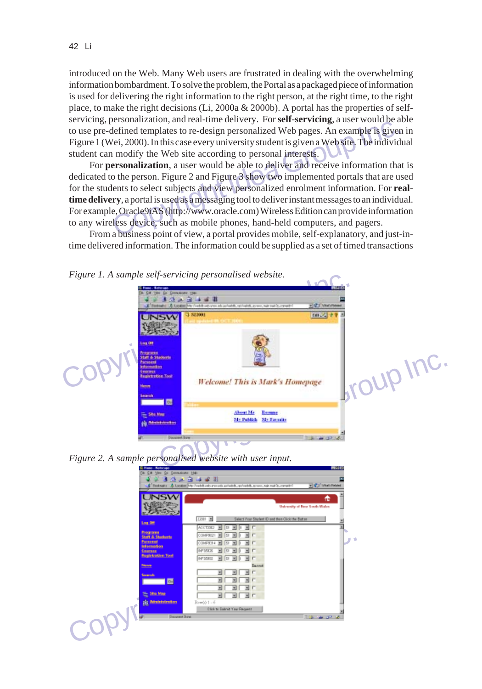introduced on the Web. Many Web users are frustrated in dealing with the overwhelming information bombardment. To solve the problem, the Portal as a packaged piece of information is used for delivering the right information to the right person, at the right time, to the right place, to make the right decisions (Li, 2000a & 2000b). A portal has the properties of selfservicing, personalization, and real-time delivery. For **self-servicing**, a user would be able to use pre-defined templates to re-design personalized Web pages. An example is given in Figure 1 (Wei, 2000). In this case every university student is given a Web site. The individual student can modify the Web site according to personal interests.

Experimentation, and real-time derivery. To set is set we wond be a<br>defined templates to re-design personalized Web pages. An example is giver<br>vei, 2000). In this case every university student is given a Web site. The indi For **personalization**, a user would be able to deliver and receive information that is dedicated to the person. Figure 2 and Figure 3 show two implemented portals that are used for the students to select subjects and view personalized enrolment information. For **realtime delivery**, a portal is used as a messaging tool to deliver instant messages to an individual. For example, Oracle9iAS (http://www.oracle.com) Wireless Edition can provide information to any wireless device, such as mobile phones, hand-held computers, and pagers.

From a business point of view, a portal provides mobile, self-explanatory, and just-intime delivered information. The information could be supplied as a set of timed transactions





| <b>INSW</b>                          | æ<br>University of New South Wales                                                                                      |
|--------------------------------------|-------------------------------------------------------------------------------------------------------------------------|
| Log Off                              | 22081 单<br>Salect Your Student D and then Click the Batters                                                             |
| Programme.                           | ACCTSSIZ<br>H<br>$\overline{m}$<br>Ist.<br>▼川川<br>÷                                                                     |
| Staff & Studerste<br>Parsonal        | COMPROZY<br>SI<br>$\overline{\phantom{a}}$<br>×<br>ᆒ<br>COMPEN 4<br>$\mathbb{Z}$<br>$\overline{\phantom{a}}$<br>SE<br>× |
| <b>Information</b><br><b>Courses</b> | INF 553.26<br>SI<br>$\blacksquare$<br>×<br>$\mathbf{H}$                                                                 |
| <b>Registration Tool</b>             | INF 55852<br><b>SF</b><br>固<br>园<br>$\overline{\phantom{a}}$                                                            |
| <b>Menny</b>                         | <b>Barent</b>                                                                                                           |
| Search                               | Ξ<br>$\overline{ }$<br>뇌                                                                                                |
| 國                                    | Ξ<br>뾔<br>Ξ<br>٣I<br>ᆒ                                                                                                  |
| <b>Sito Mag</b><br>⋷                 | 페르트<br>푀                                                                                                                |
| the developments                     | Ecw001-6                                                                                                                |
|                                      | <b>Click to State of Your Request</b>                                                                                   |
| Decement Bone                        | <b>The age of the </b>                                                                                                  |